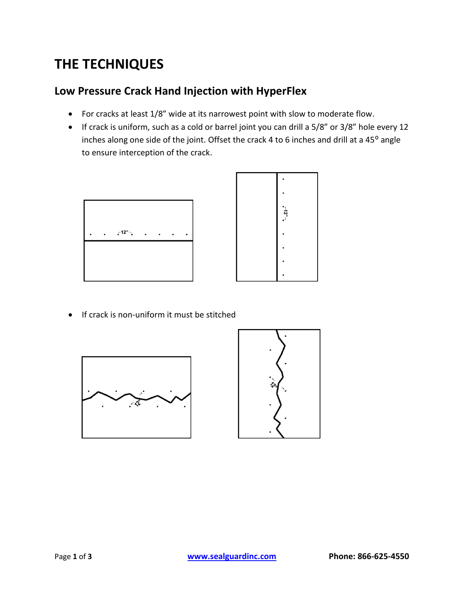# **THE TECHNIQUES**

# **Low Pressure Crack Hand Injection with HyperFlex**

- For cracks at least 1/8" wide at its narrowest point with slow to moderate flow.
- If crack is uniform, such as a cold or barrel joint you can drill a 5/8" or 3/8" hole every 12 inches along one side of the joint. Offset the crack 4 to 6 inches and drill at a 45° angle to ensure interception of the crack.



• If crack is non-uniform it must be stitched



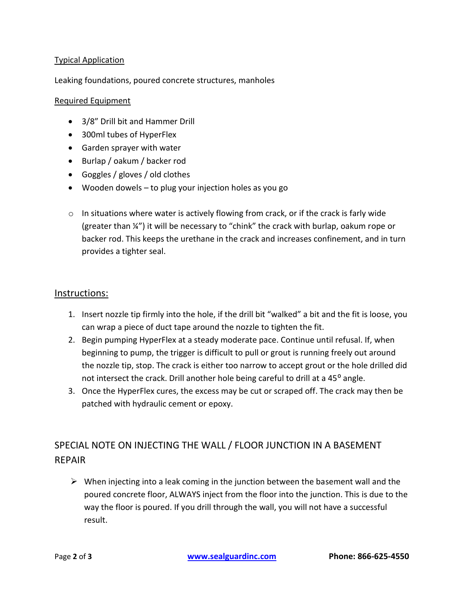## Typical Application

### Leaking foundations, poured concrete structures, manholes

#### Required Equipment

- 3/8" Drill bit and Hammer Drill
- 300ml tubes of HyperFlex
- Garden sprayer with water
- Burlap / oakum / backer rod
- Goggles / gloves / old clothes
- Wooden dowels to plug your injection holes as you go
- $\circ$  In situations where water is actively flowing from crack, or if the crack is farly wide (greater than ¼") it will be necessary to "chink" the crack with burlap, oakum rope or backer rod. This keeps the urethane in the crack and increases confinement, and in turn provides a tighter seal.

#### Instructions:

- 1. Insert nozzle tip firmly into the hole, if the drill bit "walked" a bit and the fit is loose, you can wrap a piece of duct tape around the nozzle to tighten the fit.
- 2. Begin pumping HyperFlex at a steady moderate pace. Continue until refusal. If, when beginning to pump, the trigger is difficult to pull or grout is running freely out around the nozzle tip, stop. The crack is either too narrow to accept grout or the hole drilled did not intersect the crack. Drill another hole being careful to drill at a 45<sup>o</sup> angle.
- 3. Once the HyperFlex cures, the excess may be cut or scraped off. The crack may then be patched with hydraulic cement or epoxy.

## SPECIAL NOTE ON INJECTING THE WALL / FLOOR JUNCTION IN A BASEMENT REPAIR

 $\triangleright$  When injecting into a leak coming in the junction between the basement wall and the poured concrete floor, ALWAYS inject from the floor into the junction. This is due to the way the floor is poured. If you drill through the wall, you will not have a successful result.